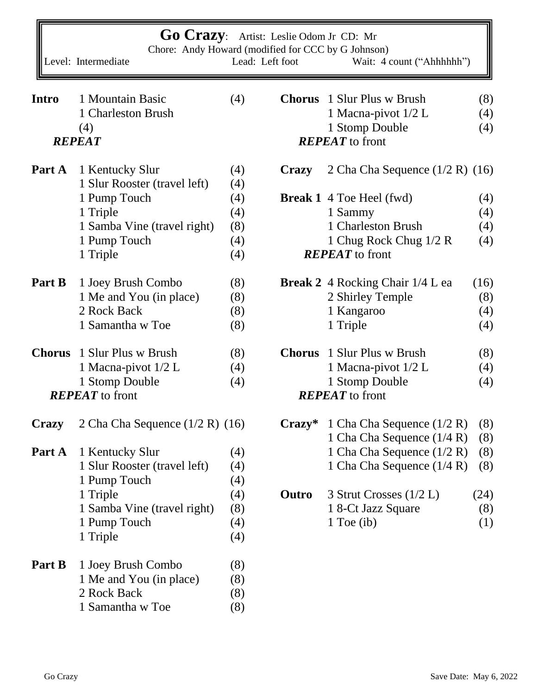| <b>Go Crazy:</b><br>Artist: Leslie Odom Jr CD: Mr<br>Chore: Andy Howard (modified for CCC by G Johnson)<br>Lead: Left foot<br>Level: Intermediate<br>Wait: 4 count ("Ahhhhhh") |                                     |     |                        |                                         |      |  |  |  |  |  |
|--------------------------------------------------------------------------------------------------------------------------------------------------------------------------------|-------------------------------------|-----|------------------------|-----------------------------------------|------|--|--|--|--|--|
|                                                                                                                                                                                |                                     |     |                        |                                         |      |  |  |  |  |  |
| <b>Intro</b>                                                                                                                                                                   | 1 Mountain Basic                    | (4) |                        | <b>Chorus</b> 1 Slur Plus w Brush       | (8)  |  |  |  |  |  |
|                                                                                                                                                                                | 1 Charleston Brush                  |     |                        | 1 Macna-pivot 1/2 L                     | (4)  |  |  |  |  |  |
|                                                                                                                                                                                | (4)                                 |     |                        | 1 Stomp Double                          | (4)  |  |  |  |  |  |
|                                                                                                                                                                                | <b>REPEAT</b>                       |     | <b>REPEAT</b> to front |                                         |      |  |  |  |  |  |
| Part A                                                                                                                                                                         | 1 Kentucky Slur                     | (4) | <b>Crazy</b>           | 2 Cha Cha Sequence $(1/2 R)$ $(16)$     |      |  |  |  |  |  |
|                                                                                                                                                                                | 1 Slur Rooster (travel left)        | (4) |                        |                                         |      |  |  |  |  |  |
|                                                                                                                                                                                | 1 Pump Touch                        | (4) |                        | <b>Break 1</b> 4 Toe Heel (fwd)         | (4)  |  |  |  |  |  |
|                                                                                                                                                                                | 1 Triple                            | (4) |                        | 1 Sammy                                 | (4)  |  |  |  |  |  |
|                                                                                                                                                                                | 1 Samba Vine (travel right)         | (8) |                        | 1 Charleston Brush                      | (4)  |  |  |  |  |  |
|                                                                                                                                                                                | 1 Pump Touch                        | (4) |                        | 1 Chug Rock Chug 1/2 R                  | (4)  |  |  |  |  |  |
|                                                                                                                                                                                | 1 Triple                            | (4) |                        | <b>REPEAT</b> to front                  |      |  |  |  |  |  |
| Part B                                                                                                                                                                         | 1 Joey Brush Combo                  | (8) |                        | <b>Break 2</b> 4 Rocking Chair 1/4 L ea | (16) |  |  |  |  |  |
|                                                                                                                                                                                | 1 Me and You (in place)             | (8) |                        | 2 Shirley Temple                        | (8)  |  |  |  |  |  |
|                                                                                                                                                                                | 2 Rock Back                         | (8) |                        | 1 Kangaroo                              | (4)  |  |  |  |  |  |
|                                                                                                                                                                                | 1 Samantha w Toe                    | (8) |                        | 1 Triple                                | (4)  |  |  |  |  |  |
|                                                                                                                                                                                | <b>Chorus</b> 1 Slur Plus w Brush   | (8) | <b>Chorus</b>          | 1 Slur Plus w Brush                     | (8)  |  |  |  |  |  |
|                                                                                                                                                                                | 1 Macna-pivot 1/2 L                 | (4) |                        | 1 Macna-pivot 1/2 L                     | (4)  |  |  |  |  |  |
|                                                                                                                                                                                | 1 Stomp Double                      | (4) |                        | 1 Stomp Double                          | (4)  |  |  |  |  |  |
|                                                                                                                                                                                | <b>REPEAT</b> to front              |     | <b>REPEAT</b> to front |                                         |      |  |  |  |  |  |
| Crazy                                                                                                                                                                          | 2 Cha Cha Sequence $(1/2 R)$ $(16)$ |     | $C{\bf razv}^*$        | 1 Cha Cha Sequence $(1/2 \text{ R})$    | (8)  |  |  |  |  |  |
|                                                                                                                                                                                |                                     |     |                        | 1 Cha Cha Sequence (1/4 R)              | (8)  |  |  |  |  |  |
| Part A                                                                                                                                                                         | 1 Kentucky Slur                     | (4) |                        | 1 Cha Cha Sequence (1/2 R)              | (8)  |  |  |  |  |  |
|                                                                                                                                                                                | 1 Slur Rooster (travel left)        | (4) |                        | 1 Cha Cha Sequence (1/4 R)              | (8)  |  |  |  |  |  |
|                                                                                                                                                                                | 1 Pump Touch                        | (4) |                        |                                         |      |  |  |  |  |  |
|                                                                                                                                                                                | 1 Triple                            | (4) | Outro                  | 3 Strut Crosses $(1/2 L)$               | (24) |  |  |  |  |  |
|                                                                                                                                                                                | 1 Samba Vine (travel right)         | (8) |                        | 1 8-Ct Jazz Square                      | (8)  |  |  |  |  |  |
|                                                                                                                                                                                | 1 Pump Touch                        | (4) |                        | 1 Toe $(ib)$                            | (1)  |  |  |  |  |  |
|                                                                                                                                                                                | 1 Triple                            | (4) |                        |                                         |      |  |  |  |  |  |
| Part B                                                                                                                                                                         | 1 Joey Brush Combo                  | (8) |                        |                                         |      |  |  |  |  |  |
|                                                                                                                                                                                | 1 Me and You (in place)             | (8) |                        |                                         |      |  |  |  |  |  |
|                                                                                                                                                                                | 2 Rock Back                         | (8) |                        |                                         |      |  |  |  |  |  |
|                                                                                                                                                                                | 1 Samantha w Toe                    | (8) |                        |                                         |      |  |  |  |  |  |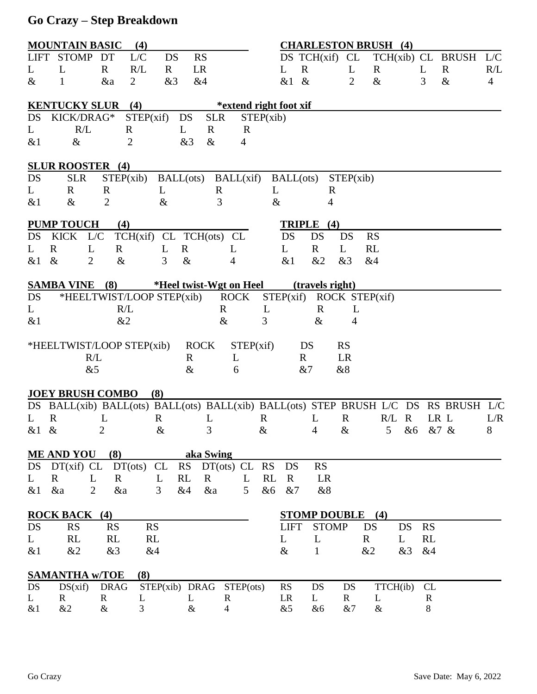## **Go Crazy – Step Breakdown**

| <b>MOUNTAIN BASIC</b><br>(4)                                           |                         |                        |                                    |                    |                                                                                     |                   | <b>CHARLESTON BRUSH (4)</b> |                    |                |                 |              |                |
|------------------------------------------------------------------------|-------------------------|------------------------|------------------------------------|--------------------|-------------------------------------------------------------------------------------|-------------------|-----------------------------|--------------------|----------------|-----------------|--------------|----------------|
| <b>LIFT</b>                                                            | STOMP DT                |                        | L/C<br>DS                          | <b>RS</b>          |                                                                                     |                   | $DS$ TCH $(xif)$ CL         |                    |                | TCH(xib) CL     | <b>BRUSH</b> | L/C            |
| L                                                                      | L                       | $\mathbf{R}$           | R/L<br>$\mathbf{R}$                | <b>LR</b>          |                                                                                     |                   | $\mathbf R$                 | L                  | $\mathbf R$    | L               | $\mathbf R$  | R/L            |
| $\&$                                                                   |                         | &a                     | &3<br>$\overline{2}$               | &4                 |                                                                                     |                   | &1 &                        | $\overline{2}$     | $\&$           | 3               | $\&$         | $\overline{4}$ |
| (4)<br><b>KENTUCKY SLUR</b><br>*extend right foot xif                  |                         |                        |                                    |                    |                                                                                     |                   |                             |                    |                |                 |              |                |
| DS                                                                     | KICK/DRAG*              |                        | STEP(xif)                          | DS                 | <b>SLR</b>                                                                          | STEP(xib)         |                             |                    |                |                 |              |                |
| L                                                                      | R/L                     |                        | R                                  | L<br>$\mathbf R$   | $\mathbf R$                                                                         |                   |                             |                    |                |                 |              |                |
| $&$ 1                                                                  | $\&$                    |                        | 2                                  | &3                 | $\&$<br>4                                                                           |                   |                             |                    |                |                 |              |                |
|                                                                        | <b>SLUR ROOSTER</b> (4) |                        |                                    |                    |                                                                                     |                   |                             |                    |                |                 |              |                |
| DS                                                                     | <b>SLR</b>              | STEP(xib)              |                                    |                    | BALL(ots) BALL(xif) BALL(ots)                                                       |                   |                             | STEP(xib)          |                |                 |              |                |
| L                                                                      | R                       | R                      | L                                  |                    | R                                                                                   | L                 | $\mathbf R$                 |                    |                |                 |              |                |
| $&$ 1                                                                  | $\&$                    | $\overline{2}$         | $\&$                               |                    | 3                                                                                   | $\&$              | 4                           |                    |                |                 |              |                |
|                                                                        | <b>PUMP TOUCH</b>       | (4)                    |                                    |                    |                                                                                     |                   | TRIPLE (4)                  |                    |                |                 |              |                |
| DS                                                                     | <b>KICK</b>             | L/C                    | TCH(xif) CL TCH(ots) CL            |                    |                                                                                     | DS                | DS                          | DS                 | <b>RS</b>      |                 |              |                |
| L                                                                      | $\mathbf{R}$            | L<br>$\mathbf{R}$      | L                                  | $\mathbf{R}$       | L                                                                                   | L                 | $\mathbf R$                 | L                  | RL             |                 |              |                |
| &1                                                                     | $\&$                    | $\overline{2}$<br>$\&$ | 3                                  | $\&$               | 4                                                                                   | &1                | &2                          | &3                 | &4             |                 |              |                |
| <b>SAMBA VINE</b><br>(8)<br>*Heel twist-Wgt on Heel<br>(travels right) |                         |                        |                                    |                    |                                                                                     |                   |                             |                    |                |                 |              |                |
| DS                                                                     |                         |                        | *HEELTWIST/LOOP STEP(xib)          |                    | <b>ROCK</b>                                                                         |                   | STEP(xif) ROCK STEP(xif)    |                    |                |                 |              |                |
| L                                                                      |                         | R/L                    |                                    |                    | $\mathbf R$                                                                         | L                 | $\mathbf R$                 | L                  |                |                 |              |                |
| $&$ 1                                                                  |                         | &2                     |                                    |                    | $\&$                                                                                | 3                 | $\&$                        | 4                  |                |                 |              |                |
|                                                                        |                         |                        | *HEELTWIST/LOOP STEP(xib)          | <b>ROCK</b>        | STEP(xif)                                                                           |                   | DS                          | <b>RS</b>          |                |                 |              |                |
|                                                                        |                         | R/L                    |                                    | R                  | L                                                                                   |                   | $\mathbf{R}$                | LR                 |                |                 |              |                |
|                                                                        |                         | &5                     |                                    | $\&$               | 6                                                                                   |                   | &7                          | &8                 |                |                 |              |                |
|                                                                        | <b>JOEY BRUSH COMBO</b> |                        | (8)                                |                    |                                                                                     |                   |                             |                    |                |                 |              |                |
|                                                                        |                         |                        |                                    |                    | DS BALL(xib) BALL(ots) BALL(ots) BALL(xib) BALL(ots) STEP BRUSH L/C DS RS BRUSH L/C |                   |                             |                    |                |                 |              |                |
| L                                                                      | $\mathbf R$             | L                      | $\mathbf R$                        | L                  |                                                                                     | R                 | L                           | $\mathbf R$        | $R/L$ R        |                 | LR L         | L/R            |
| &1 &                                                                   |                         | 2                      | $\&$                               | 3                  |                                                                                     | $\&$              | $\overline{4}$              | $\&$               | 5 <sup>5</sup> | &6 &7 &         |              | 8              |
|                                                                        | <b>ME AND YOU</b>       | (8)                    |                                    | aka Swing          |                                                                                     |                   |                             |                    |                |                 |              |                |
|                                                                        |                         |                        | $DS$ $DT(xif)$ $CL$ $DT(ots)$ $CL$ |                    | $RS$ $DT(ots)$ $CL$                                                                 | DS<br>RS          | RS                          |                    |                |                 |              |                |
| L                                                                      | $\bf R$                 | L<br>$\mathbf R$       | $\mathbf{L}$                       | RL<br>$\mathbf{R}$ | L                                                                                   | RL<br>$\mathbf R$ | LR                          |                    |                |                 |              |                |
| &1                                                                     | &a                      | &a<br>2                | $\mathfrak{Z}$                     | &4<br>&a           | 5 <sup>5</sup>                                                                      | &6<br>&7          | &8                          |                    |                |                 |              |                |
|                                                                        | <b>ROCK BACK (4)</b>    |                        |                                    |                    |                                                                                     |                   | <b>STOMP DOUBLE</b> (4)     |                    |                |                 |              |                |
| DS                                                                     | <b>RS</b>               | <b>RS</b>              | RS                                 |                    |                                                                                     | <b>LIFT</b>       | <b>STOMP</b>                |                    | DS             | DS<br><b>RS</b> |              |                |
| L                                                                      | RL                      | <b>RL</b>              | RL                                 |                    |                                                                                     | L                 | L                           |                    | $\mathbf R$    | RL<br>L         |              |                |
| &1                                                                     | &2                      | &3                     | &4                                 |                    |                                                                                     | $\&$              | $\mathbf{1}$                |                    | &2             | &3<br>&4        |              |                |
|                                                                        |                         |                        |                                    |                    |                                                                                     |                   |                             |                    |                |                 |              |                |
| DS                                                                     | <b>SAMANTHA w/TOE</b>   | <b>DRAG</b>            | (8)                                | STEP(xib) DRAG     |                                                                                     | <b>RS</b>         | DS                          |                    |                | CL              |              |                |
| L                                                                      | DS(xif)<br>$\mathbf R$  | $\mathbf R$            | L                                  | L                  | STEP(ots)<br>$\mathbf R$                                                            | LR                | L                           | DS<br>$\mathbf{R}$ | TTCH(ib)<br>L  | $\mathbf R$     |              |                |
| &1                                                                     | &2                      | $\&$                   | 3                                  | $\&$               | $\overline{4}$                                                                      | &5                | &6                          | &7                 | $\&$           | $8\,$           |              |                |